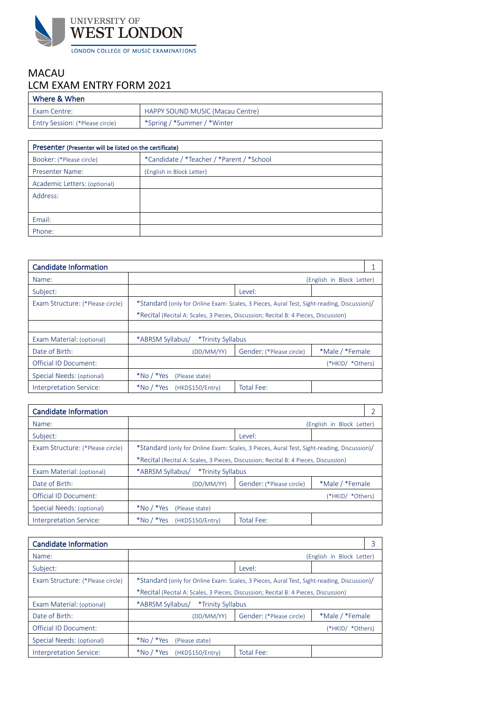

## MACAU LCM EXAM ENTRY FORM 2021

| l Where & When                         |                                  |
|----------------------------------------|----------------------------------|
| <b>Exam Centre:</b>                    | HAPPY SOUND MUSIC (Macau Centre) |
| <b>Entry Session: (*Please circle)</b> | *Spring / *Summer / *Winter      |

| Presenter (Presenter will be listed on the certificate) |                                           |  |
|---------------------------------------------------------|-------------------------------------------|--|
| Booker: (*Please circle)                                | *Candidate / *Teacher / *Parent / *School |  |
| <b>Presenter Name:</b>                                  | (English in Block Letter)                 |  |
| Academic Letters: (optional)                            |                                           |  |
| Address:                                                |                                           |  |
|                                                         |                                           |  |
| Email:                                                  |                                           |  |
| Phone:                                                  |                                           |  |

| <b>Candidate Information</b>     |                                                                                            |                          |                           |  |
|----------------------------------|--------------------------------------------------------------------------------------------|--------------------------|---------------------------|--|
| Name:                            |                                                                                            |                          | (English in Block Letter) |  |
| Subject:                         |                                                                                            | Level:                   |                           |  |
| Exam Structure: (*Please circle) | *Standard (only for Online Exam: Scales, 3 Pieces, Aural Test, Sight-reading, Discussion)/ |                          |                           |  |
|                                  | *Recital (Recital A: Scales, 3 Pieces, Discussion; Recital B: 4 Pieces, Discussion)        |                          |                           |  |
|                                  |                                                                                            |                          |                           |  |
| Exam Material: (optional)        | *ABRSM Syllabus/<br>*Trinity Syllabus                                                      |                          |                           |  |
| Date of Birth:                   | (DD/MM/YY)                                                                                 | Gender: (*Please circle) | *Male / *Female           |  |
| Official ID Document:            |                                                                                            |                          | (*HKID/ *Others)          |  |
| Special Needs: (optional)        | $*$ No / $*$ Yes<br>(Please state)                                                         |                          |                           |  |
| Interpretation Service:          | $*$ No / $*$ Yes<br>(HKD\$150/Entry)                                                       | Total Fee:               |                           |  |

| <b>Candidate Information</b>     |                                                                                           |                          |                           |  |
|----------------------------------|-------------------------------------------------------------------------------------------|--------------------------|---------------------------|--|
| Name:                            |                                                                                           |                          | (English in Block Letter) |  |
| Subject:                         |                                                                                           | Level:                   |                           |  |
| Exam Structure: (*Please circle) | *Standard (only for Online Exam: Scales, 3 Pieces, Aural Test, Sight-reading, Discussion) |                          |                           |  |
|                                  | *Recital (Recital A: Scales, 3 Pieces, Discussion; Recital B: 4 Pieces, Discussion)       |                          |                           |  |
| Exam Material: (optional)        | *ABRSM Syllabus/<br>*Trinity Syllabus                                                     |                          |                           |  |
| Date of Birth:                   | (DD/MM/YY)                                                                                | Gender: (*Please circle) | *Male / *Female           |  |
| Official ID Document:            |                                                                                           |                          | (*HKID/ *Others)          |  |
| Special Needs: (optional)        | $*$ No / $*$ Yes<br>(Please state)                                                        |                          |                           |  |
| Interpretation Service:          | $*$ No / $*$ Yes<br>(HKD\$150/Entry)                                                      | Total Fee:               |                           |  |

| Candidate Information            |                                                                                           |                          |                           |  |
|----------------------------------|-------------------------------------------------------------------------------------------|--------------------------|---------------------------|--|
| Name:                            |                                                                                           |                          | (English in Block Letter) |  |
| Subject:                         |                                                                                           | Level:                   |                           |  |
| Exam Structure: (*Please circle) | *Standard (only for Online Exam: Scales, 3 Pieces, Aural Test, Sight-reading, Discussion) |                          |                           |  |
|                                  | *Recital (Recital A: Scales, 3 Pieces, Discussion; Recital B: 4 Pieces, Discussion)       |                          |                           |  |
| Exam Material: (optional)        | *ABRSM Syllabus/<br>*Trinity Syllabus                                                     |                          |                           |  |
| Date of Birth:                   | (DD/MM/YY)                                                                                | Gender: (*Please circle) | *Male / *Female           |  |
| Official ID Document:            |                                                                                           |                          | (*HKID/ *Others)          |  |
| Special Needs: (optional)        | $*$ No / $*$ Yes<br>(Please state)                                                        |                          |                           |  |
| Interpretation Service:          | $*$ No / $*$ Yes<br>(HKD\$150/Entry)                                                      | Total Fee:               |                           |  |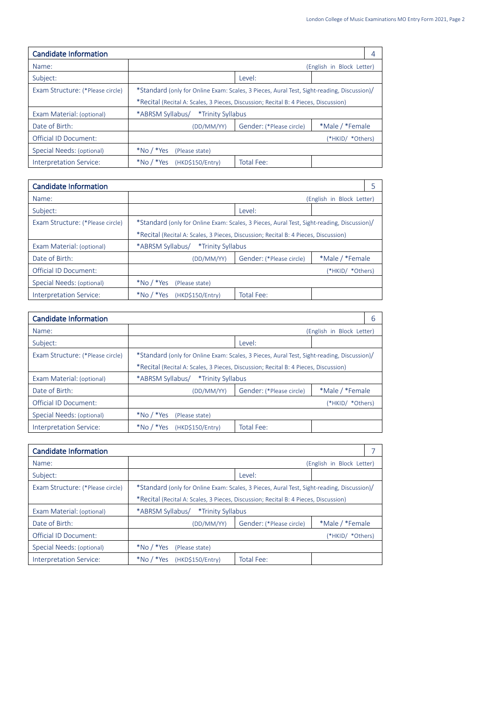| Candidate Information            |                                                                                           |                          |                           | 4 |
|----------------------------------|-------------------------------------------------------------------------------------------|--------------------------|---------------------------|---|
| Name:                            |                                                                                           |                          | (English in Block Letter) |   |
| Subject:                         |                                                                                           | Level:                   |                           |   |
| Exam Structure: (*Please circle) | *Standard (only for Online Exam: Scales, 3 Pieces, Aural Test, Sight-reading, Discussion) |                          |                           |   |
|                                  | *Recital (Recital A: Scales, 3 Pieces, Discussion; Recital B: 4 Pieces, Discussion)       |                          |                           |   |
| Exam Material: (optional)        | *ABRSM Syllabus/<br>*Trinity Syllabus                                                     |                          |                           |   |
| Date of Birth:                   | (DD/MM/YY)                                                                                | Gender: (*Please circle) | *Male / *Female           |   |
| Official ID Document:            |                                                                                           |                          | (*HKID/ *Others)          |   |
| Special Needs: (optional)        | $*$ No / $*$ Yes<br>(Please state)                                                        |                          |                           |   |
| Interpretation Service:          | $*$ No / $*$ Yes<br>(HKD\$150/Entry)                                                      | Total Fee:               |                           |   |

| Candidate Information            |                                                                                            |                          |                           |  |
|----------------------------------|--------------------------------------------------------------------------------------------|--------------------------|---------------------------|--|
| Name:                            |                                                                                            |                          | (English in Block Letter) |  |
| Subject:                         |                                                                                            | Level:                   |                           |  |
| Exam Structure: (*Please circle) | *Standard (only for Online Exam: Scales, 3 Pieces, Aural Test, Sight-reading, Discussion)/ |                          |                           |  |
|                                  | *Recital (Recital A: Scales, 3 Pieces, Discussion; Recital B: 4 Pieces, Discussion)        |                          |                           |  |
| Exam Material: (optional)        | *ABRSM Syllabus/<br>*Trinity Syllabus                                                      |                          |                           |  |
| Date of Birth:                   | (DD/MM/YY)                                                                                 | Gender: (*Please circle) | *Male / *Female           |  |
| <b>Official ID Document:</b>     |                                                                                            |                          | (*HKID/ *Others)          |  |
| Special Needs: (optional)        | $*$ No / $*$ Yes<br>(Please state)                                                         |                          |                           |  |
| Interpretation Service:          | $*$ No / $*$ Yes<br>(HKD\$150/Entry)                                                       | Total Fee:               |                           |  |

| <b>Candidate Information</b>     |                                                                                           |                          |                           |  |
|----------------------------------|-------------------------------------------------------------------------------------------|--------------------------|---------------------------|--|
| Name:                            |                                                                                           |                          | (English in Block Letter) |  |
| Subject:                         |                                                                                           | Level:                   |                           |  |
| Exam Structure: (*Please circle) | *Standard (only for Online Exam: Scales, 3 Pieces, Aural Test, Sight-reading, Discussion) |                          |                           |  |
|                                  | *Recital (Recital A: Scales, 3 Pieces, Discussion; Recital B: 4 Pieces, Discussion)       |                          |                           |  |
| Exam Material: (optional)        | *ABRSM Syllabus/<br>*Trinity Syllabus                                                     |                          |                           |  |
| Date of Birth:                   | (DD/MM/YY)                                                                                | Gender: (*Please circle) | *Male / *Female           |  |
| Official ID Document:            |                                                                                           |                          | (*HKID/ *Others)          |  |
| Special Needs: (optional)        | $*$ No / $*$ Yes<br>(Please state)                                                        |                          |                           |  |
| Interpretation Service:          | $*$ No / $*$ Yes<br>(HKD\$150/Entry)                                                      | Total Fee:               |                           |  |

| <b>Candidate Information</b>     |                                                                                            |                          |                           |
|----------------------------------|--------------------------------------------------------------------------------------------|--------------------------|---------------------------|
| Name:                            |                                                                                            |                          | (English in Block Letter) |
| Subject:                         |                                                                                            | Level:                   |                           |
| Exam Structure: (*Please circle) | *Standard (only for Online Exam: Scales, 3 Pieces, Aural Test, Sight-reading, Discussion)/ |                          |                           |
|                                  | *Recital (Recital A: Scales, 3 Pieces, Discussion; Recital B: 4 Pieces, Discussion)        |                          |                           |
| Exam Material: (optional)        | *ABRSM Syllabus/<br>*Trinity Syllabus                                                      |                          |                           |
| Date of Birth:                   | (DD/MM/YY)                                                                                 | Gender: (*Please circle) | *Male / *Female           |
| <b>Official ID Document:</b>     |                                                                                            |                          | (*HKID/ *Others)          |
| Special Needs: (optional)        | $*$ No / $*$ Yes<br>(Please state)                                                         |                          |                           |
| Interpretation Service:          | $*$ No / $*$ Yes<br>(HKD\$150/Entry)                                                       | Total Fee:               |                           |